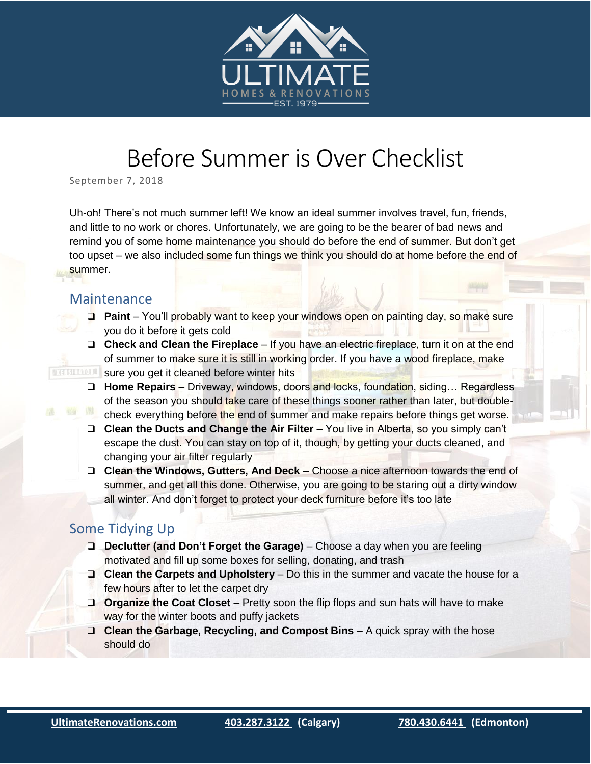

## Before Summer is Over Checklist

September 7, 2018

Uh-oh! There's not much summer left! We know an ideal summer involves travel, fun, friends, and little to no work or chores. Unfortunately, we are going to be the bearer of bad news and remind you of some home maintenance you should do before the end of summer. But don't get too upset – we also included some fun things we think you should do at home before the end of summer.

## Maintenance

**NSGF** 

- **Paint** You'll probably want to keep your windows open on painting day, so make sure you do it before it gets cold
- □ Check and Clean the Fireplace If you have an electric fireplace, turn it on at the end of summer to make sure it is still in working order. If you have a wood fireplace, make **SURFALL SURFALL SURFALL SURFALL CONCRETE ASSESSMENT OF SURFALL SURFALL SURFALL SURFALL SURFALL SURFALL SURFALL S** 
	- **Home Repairs** Driveway, windows, doors and locks, foundation, siding… Regardless of the season you should take care of these things sooner rather than later, but doublecheck everything before the end of summer and make repairs before things get worse.
	- □ **Clean the Ducts and Change the Air Filter** You live in Alberta, so you simply can't escape the dust. You can stay on top of it, though, by getting your ducts cleaned, and changing your air filter regularly
	- **Clean the Windows, Gutters, And Deck** Choose a nice afternoon towards the end of summer, and get all this done. Otherwise, you are going to be staring out a dirty window all winter. And don't forget to protect your deck furniture before it's too late

## Some Tidying Up

- **Declutter (and Don't Forget the Garage)** Choose a day when you are feeling motivated and fill up some boxes for selling, donating, and trash
- **Clean the Carpets and Upholstery** Do this in the summer and vacate the house for a few hours after to let the carpet dry
- **Organize the Coat Closet** Pretty soon the flip flops and sun hats will have to make way for the winter boots and puffy jackets
- **Clean the Garbage, Recycling, and Compost Bins** A quick spray with the hose should do

i<br>I